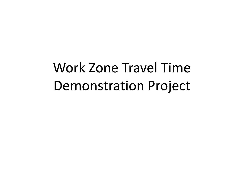Work Zone Travel Time Demonstration Project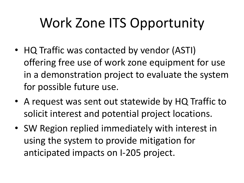# Work Zone ITS Opportunity

- HQ Traffic was contacted by vendor (ASTI) offering free use of work zone equipment for use in a demonstration project to evaluate the system for possible future use.
- A request was sent out statewide by HQ Traffic to solicit interest and potential project locations.
- SW Region replied immediately with interest in using the system to provide mitigation for anticipated impacts on I-205 project.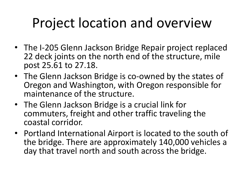### Project location and overview

- The I-205 Glenn Jackson Bridge Repair project replaced 22 deck joints on the north end of the structure, mile post 25.61 to 27.18.
- The Glenn Jackson Bridge is co-owned by the states of Oregon and Washington, with Oregon responsible for maintenance of the structure.
- The Glenn Jackson Bridge is a crucial link for commuters, freight and other traffic traveling the coastal corridor.
- Portland International Airport is located to the south of the bridge. There are approximately 140,000 vehicles a day that travel north and south across the bridge.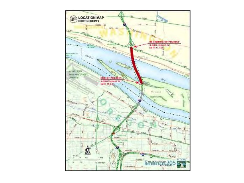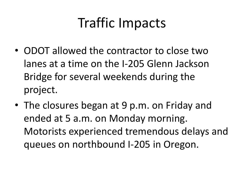#### Traffic Impacts

- ODOT allowed the contractor to close two lanes at a time on the I-205 Glenn Jackson Bridge for several weekends during the project.
- The closures began at 9 p.m. on Friday and ended at 5 a.m. on Monday morning. Motorists experienced tremendous delays and queues on northbound I-205 in Oregon.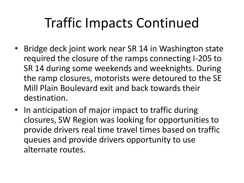# Traffic Impacts Continued

- Bridge deck joint work near SR 14 in Washington state required the closure of the ramps connecting I-205 to SR 14 during some weekends and weeknights. During the ramp closures, motorists were detoured to the SE Mill Plain Boulevard exit and back towards their destination.
- In anticipation of major impact to traffic during closures, SW Region was looking for opportunities to provide drivers real time travel times based on traffic queues and provide drivers opportunity to use alternate routes.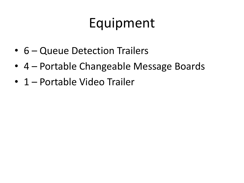#### Equipment

- 6 Queue Detection Trailers
- 4 Portable Changeable Message Boards
- 1 Portable Video Trailer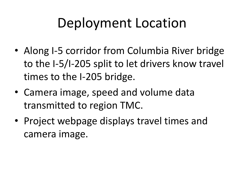## Deployment Location

- Along I-5 corridor from Columbia River bridge to the I-5/I-205 split to let drivers know travel times to the I-205 bridge.
- Camera image, speed and volume data transmitted to region TMC.
- Project webpage displays travel times and camera image.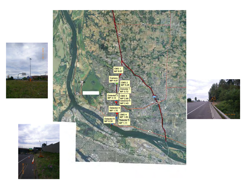





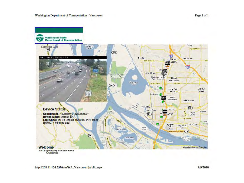



You are viewing a miblic nane